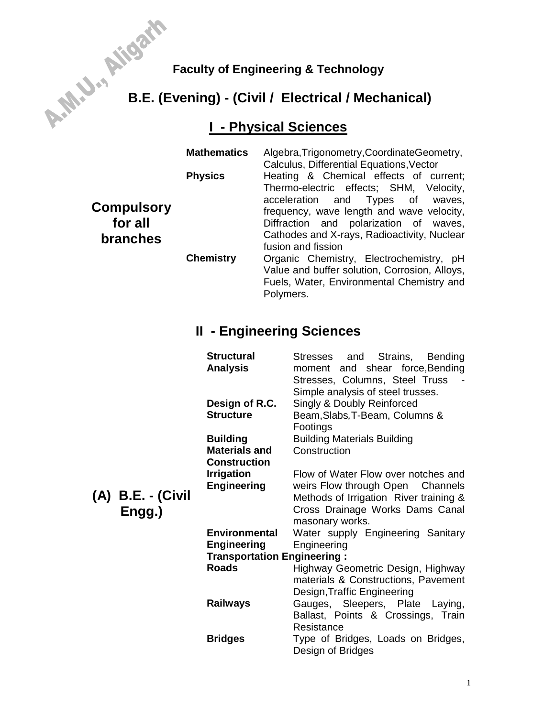# Faculty of Engineering & Technology<br>**E.E. (Evening) - (Civil / <sup>T</sup> B.E. (Evening) - (Civil / Electrical / Mechanical)**

# **I - Physical Sciences**

|                                                 | <b>Mathematics</b> | Algebra, Trigonometry, Coordinate Geometry,<br>Calculus, Differential Equations, Vector                                                                                                         |  |  |
|-------------------------------------------------|--------------------|-------------------------------------------------------------------------------------------------------------------------------------------------------------------------------------------------|--|--|
|                                                 | <b>Physics</b>     | Heating & Chemical effects of current;<br>Thermo-electric effects; SHM, Velocity,                                                                                                               |  |  |
| <b>Compulsory</b><br>for all<br><b>branches</b> |                    | acceleration and Types of<br>waves.<br>frequency, wave length and wave velocity,<br>Diffraction and polarization of waves,<br>Cathodes and X-rays, Radioactivity, Nuclear<br>fusion and fission |  |  |
|                                                 | <b>Chemistry</b>   | Organic Chemistry, Electrochemistry, pH<br>Value and buffer solution, Corrosion, Alloys,<br>Fuels, Water, Environmental Chemistry and<br>Polymers.                                              |  |  |

## **II - Engineering Sciences**

| B.E. - (Civil<br>Engg.) | <b>Structural</b><br>Analysis      | Stresses and<br>Strains, Bending<br>moment and shear force, Bending<br>Stresses, Columns, Steel Truss<br>Simple analysis of steel trusses. |  |  |  |  |
|-------------------------|------------------------------------|--------------------------------------------------------------------------------------------------------------------------------------------|--|--|--|--|
|                         | Design of R.C.                     | Singly & Doubly Reinforced                                                                                                                 |  |  |  |  |
|                         | <b>Structure</b>                   | Beam, Slabs, T-Beam, Columns &<br>Footings                                                                                                 |  |  |  |  |
|                         | <b>Building</b>                    | <b>Building Materials Building</b>                                                                                                         |  |  |  |  |
|                         | <b>Materials and</b>               | Construction                                                                                                                               |  |  |  |  |
|                         | Construction                       |                                                                                                                                            |  |  |  |  |
|                         | <b>Irrigation</b>                  | Flow of Water Flow over notches and                                                                                                        |  |  |  |  |
|                         | <b>Engineering</b>                 | weirs Flow through Open Channels                                                                                                           |  |  |  |  |
|                         |                                    | Methods of Irrigation River training &                                                                                                     |  |  |  |  |
|                         |                                    | Cross Drainage Works Dams Canal<br>masonary works.                                                                                         |  |  |  |  |
|                         | <b>Environmental</b>               | Water supply Engineering Sanitary                                                                                                          |  |  |  |  |
|                         | <b>Engineering</b>                 | Engineering                                                                                                                                |  |  |  |  |
|                         | <b>Transportation Engineering:</b> |                                                                                                                                            |  |  |  |  |
|                         | <b>Roads</b>                       | Highway Geometric Design, Highway                                                                                                          |  |  |  |  |
|                         |                                    | materials & Constructions, Pavement                                                                                                        |  |  |  |  |
|                         |                                    | Design, Traffic Engineering                                                                                                                |  |  |  |  |
|                         | <b>Railways</b>                    | Gauges, Sleepers, Plate Laying,                                                                                                            |  |  |  |  |
|                         |                                    | Ballast, Points & Crossings, Train                                                                                                         |  |  |  |  |
|                         |                                    | Resistance                                                                                                                                 |  |  |  |  |
|                         | <b>Bridges</b>                     | Type of Bridges, Loads on Bridges,<br>Design of Bridges                                                                                    |  |  |  |  |

**(A) B.E. - (Civil**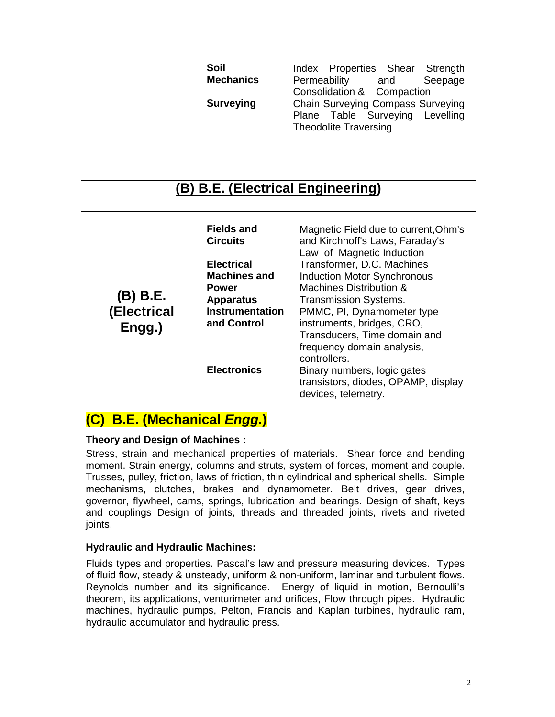| Soil             |                                          |                            |  |     | Index Properties Shear Strength |
|------------------|------------------------------------------|----------------------------|--|-----|---------------------------------|
| <b>Mechanics</b> | Permeability                             |                            |  | and | Seepage                         |
|                  |                                          | Consolidation & Compaction |  |     |                                 |
| Surveying        | <b>Chain Surveying Compass Surveying</b> |                            |  |     |                                 |
|                  |                                          |                            |  |     | Plane Table Surveying Levelling |
|                  | <b>Theodolite Traversing</b>             |                            |  |     |                                 |

## **(B) B.E. (Electrical Engineering)**

|                                   | <b>Fields and</b><br><b>Circuits</b> | Magnetic Field due to current, Ohm's<br>and Kirchhoff's Laws, Faraday's<br>Law of Magnetic Induction |  |  |  |
|-----------------------------------|--------------------------------------|------------------------------------------------------------------------------------------------------|--|--|--|
| (B) B.E.<br>(Electrical<br>Engg.) | <b>Electrical</b>                    | Transformer, D.C. Machines                                                                           |  |  |  |
|                                   | <b>Machines and</b>                  | <b>Induction Motor Synchronous</b>                                                                   |  |  |  |
|                                   | <b>Power</b>                         | Machines Distribution &<br><b>Transmission Systems.</b>                                              |  |  |  |
|                                   | <b>Apparatus</b>                     |                                                                                                      |  |  |  |
|                                   | <b>Instrumentation</b>               | PMMC, PI, Dynamometer type                                                                           |  |  |  |
|                                   | and Control                          | instruments, bridges, CRO,                                                                           |  |  |  |
|                                   |                                      | Transducers, Time domain and                                                                         |  |  |  |
|                                   |                                      | frequency domain analysis,                                                                           |  |  |  |
|                                   |                                      | controllers.                                                                                         |  |  |  |
|                                   | <b>Electronics</b>                   | Binary numbers, logic gates                                                                          |  |  |  |
|                                   |                                      | transistors, diodes, OPAMP, display<br>devices, telemetry.                                           |  |  |  |

## **(C) B.E. (Mechanical** *Engg.***)**

## **Theory and Design of Machines :**

Stress, strain and mechanical properties of materials. Shear force and bending moment. Strain energy, columns and struts, system of forces, moment and couple. Trusses, pulley, friction, laws of friction, thin cylindrical and spherical shells. Simple mechanisms, clutches, brakes and dynamometer. Belt drives, gear drives, governor, flywheel, cams, springs, lubrication and bearings. Design of shaft, keys and couplings Design of joints, threads and threaded joints, rivets and riveted joints.

## **Hydraulic and Hydraulic Machines:**

Fluids types and properties. Pascal's law and pressure measuring devices. Types of fluid flow, steady & unsteady, uniform & non-uniform, laminar and turbulent flows. Reynolds number and its significance. Energy of liquid in motion, Bernoulli's theorem, its applications, venturimeter and orifices, Flow through pipes. Hydraulic machines, hydraulic pumps, Pelton, Francis and Kaplan turbines, hydraulic ram, hydraulic accumulator and hydraulic press.